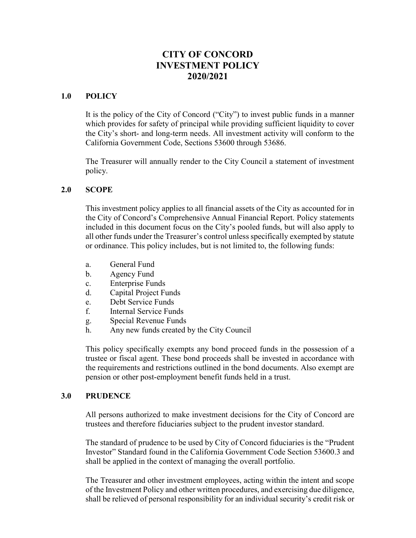# CITY OF CONCORD INVESTMENT POLICY 2020/2021

#### 1.0 POLICY

It is the policy of the City of Concord ("City") to invest public funds in a manner which provides for safety of principal while providing sufficient liquidity to cover the City's short- and long-term needs. All investment activity will conform to the California Government Code, Sections 53600 through 53686.

The Treasurer will annually render to the City Council a statement of investment policy.

#### 2.0 SCOPE

This investment policy applies to all financial assets of the City as accounted for in the City of Concord's Comprehensive Annual Financial Report. Policy statements included in this document focus on the City's pooled funds, but will also apply to all other funds under the Treasurer's control unless specifically exempted by statute or ordinance. This policy includes, but is not limited to, the following funds:

- a. General Fund
- b. Agency Fund
- c. Enterprise Funds
- d. Capital Project Funds
- e. Debt Service Funds
- f. Internal Service Funds
- g. Special Revenue Funds
- h. Any new funds created by the City Council

This policy specifically exempts any bond proceed funds in the possession of a trustee or fiscal agent. These bond proceeds shall be invested in accordance with the requirements and restrictions outlined in the bond documents. Also exempt are pension or other post-employment benefit funds held in a trust.

#### 3.0 PRUDENCE

All persons authorized to make investment decisions for the City of Concord are trustees and therefore fiduciaries subject to the prudent investor standard.

The standard of prudence to be used by City of Concord fiduciaries is the "Prudent Investor" Standard found in the California Government Code Section 53600.3 and shall be applied in the context of managing the overall portfolio.

The Treasurer and other investment employees, acting within the intent and scope of the Investment Policy and other written procedures, and exercising due diligence, shall be relieved of personal responsibility for an individual security's credit risk or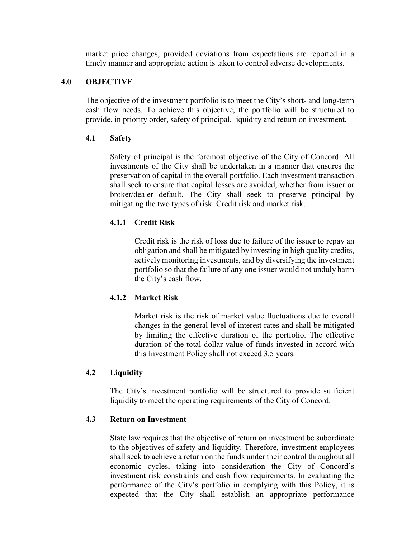market price changes, provided deviations from expectations are reported in a timely manner and appropriate action is taken to control adverse developments.

# 4.0 OBJECTIVE

The objective of the investment portfolio is to meet the City's short- and long-term cash flow needs. To achieve this objective, the portfolio will be structured to provide, in priority order, safety of principal, liquidity and return on investment.

## 4.1 Safety

Safety of principal is the foremost objective of the City of Concord. All investments of the City shall be undertaken in a manner that ensures the preservation of capital in the overall portfolio. Each investment transaction shall seek to ensure that capital losses are avoided, whether from issuer or broker/dealer default. The City shall seek to preserve principal by mitigating the two types of risk: Credit risk and market risk.

# 4.1.1 Credit Risk

Credit risk is the risk of loss due to failure of the issuer to repay an obligation and shall be mitigated by investing in high quality credits, actively monitoring investments, and by diversifying the investment portfolio so that the failure of any one issuer would not unduly harm the City's cash flow.

# 4.1.2 Market Risk

Market risk is the risk of market value fluctuations due to overall changes in the general level of interest rates and shall be mitigated by limiting the effective duration of the portfolio. The effective duration of the total dollar value of funds invested in accord with this Investment Policy shall not exceed 3.5 years.

# 4.2 Liquidity

The City's investment portfolio will be structured to provide sufficient liquidity to meet the operating requirements of the City of Concord.

### 4.3 Return on Investment

State law requires that the objective of return on investment be subordinate to the objectives of safety and liquidity. Therefore, investment employees shall seek to achieve a return on the funds under their control throughout all economic cycles, taking into consideration the City of Concord's investment risk constraints and cash flow requirements. In evaluating the performance of the City's portfolio in complying with this Policy, it is expected that the City shall establish an appropriate performance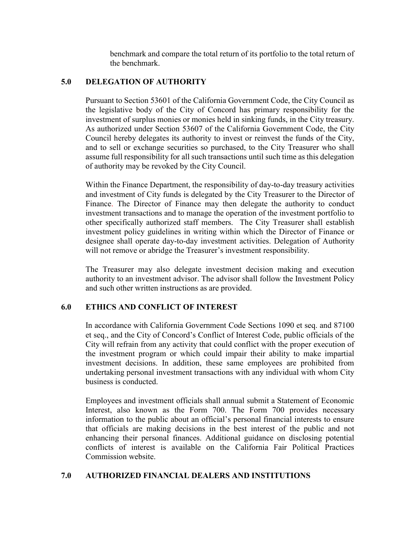benchmark and compare the total return of its portfolio to the total return of the benchmark.

# 5.0 DELEGATION OF AUTHORITY

Pursuant to Section 53601 of the California Government Code, the City Council as the legislative body of the City of Concord has primary responsibility for the investment of surplus monies or monies held in sinking funds, in the City treasury. As authorized under Section 53607 of the California Government Code, the City Council hereby delegates its authority to invest or reinvest the funds of the City, and to sell or exchange securities so purchased, to the City Treasurer who shall assume full responsibility for all such transactions until such time as this delegation of authority may be revoked by the City Council.

Within the Finance Department, the responsibility of day-to-day treasury activities and investment of City funds is delegated by the City Treasurer to the Director of Finance. The Director of Finance may then delegate the authority to conduct investment transactions and to manage the operation of the investment portfolio to other specifically authorized staff members. The City Treasurer shall establish investment policy guidelines in writing within which the Director of Finance or designee shall operate day-to-day investment activities. Delegation of Authority will not remove or abridge the Treasurer's investment responsibility.

The Treasurer may also delegate investment decision making and execution authority to an investment advisor. The advisor shall follow the Investment Policy and such other written instructions as are provided.

### 6.0 ETHICS AND CONFLICT OF INTEREST

In accordance with California Government Code Sections 1090 et seq. and 87100 et seq., and the City of Concord's Conflict of Interest Code, public officials of the City will refrain from any activity that could conflict with the proper execution of the investment program or which could impair their ability to make impartial investment decisions. In addition, these same employees are prohibited from undertaking personal investment transactions with any individual with whom City business is conducted.

Employees and investment officials shall annual submit a Statement of Economic Interest, also known as the Form 700. The Form 700 provides necessary information to the public about an official's personal financial interests to ensure that officials are making decisions in the best interest of the public and not enhancing their personal finances. Additional guidance on disclosing potential conflicts of interest is available on the California Fair Political Practices Commission website.

### 7.0 AUTHORIZED FINANCIAL DEALERS AND INSTITUTIONS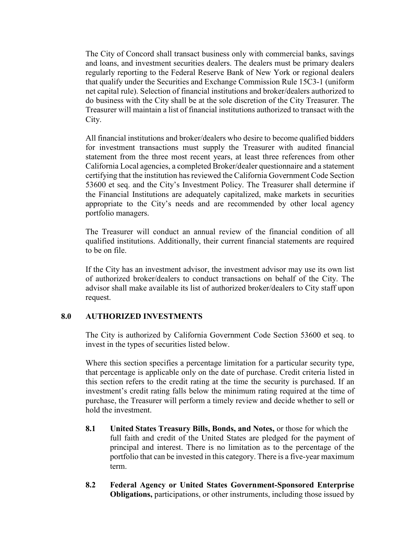The City of Concord shall transact business only with commercial banks, savings and loans, and investment securities dealers. The dealers must be primary dealers regularly reporting to the Federal Reserve Bank of New York or regional dealers that qualify under the Securities and Exchange Commission Rule 15C3-1 (uniform net capital rule). Selection of financial institutions and broker/dealers authorized to do business with the City shall be at the sole discretion of the City Treasurer. The Treasurer will maintain a list of financial institutions authorized to transact with the City.

All financial institutions and broker/dealers who desire to become qualified bidders for investment transactions must supply the Treasurer with audited financial statement from the three most recent years, at least three references from other California Local agencies, a completed Broker/dealer questionnaire and a statement certifying that the institution has reviewed the California Government Code Section 53600 et seq. and the City's Investment Policy. The Treasurer shall determine if the Financial Institutions are adequately capitalized, make markets in securities appropriate to the City's needs and are recommended by other local agency portfolio managers.

The Treasurer will conduct an annual review of the financial condition of all qualified institutions. Additionally, their current financial statements are required to be on file.

If the City has an investment advisor, the investment advisor may use its own list of authorized broker/dealers to conduct transactions on behalf of the City. The advisor shall make available its list of authorized broker/dealers to City staff upon request.

# 8.0 AUTHORIZED INVESTMENTS

The City is authorized by California Government Code Section 53600 et seq. to invest in the types of securities listed below.

Where this section specifies a percentage limitation for a particular security type, that percentage is applicable only on the date of purchase. Credit criteria listed in this section refers to the credit rating at the time the security is purchased. If an investment's credit rating falls below the minimum rating required at the time of purchase, the Treasurer will perform a timely review and decide whether to sell or hold the investment.

- 8.1 United States Treasury Bills, Bonds, and Notes, or those for which the full faith and credit of the United States are pledged for the payment of principal and interest. There is no limitation as to the percentage of the portfolio that can be invested in this category. There is a five-year maximum term.
- 8.2 Federal Agency or United States Government-Sponsored Enterprise Obligations, participations, or other instruments, including those issued by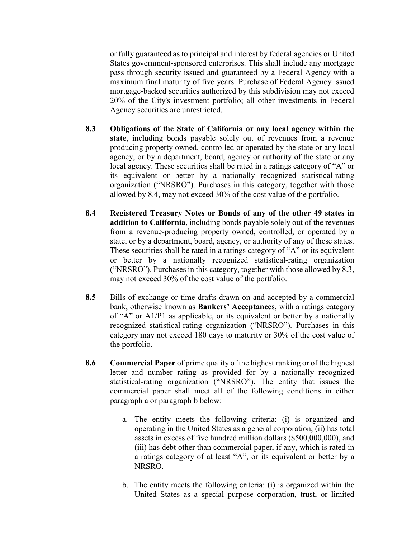or fully guaranteed as to principal and interest by federal agencies or United States government-sponsored enterprises. This shall include any mortgage pass through security issued and guaranteed by a Federal Agency with a maximum final maturity of five years. Purchase of Federal Agency issued mortgage-backed securities authorized by this subdivision may not exceed 20% of the City's investment portfolio; all other investments in Federal Agency securities are unrestricted.

- 8.3 Obligations of the State of California or any local agency within the state, including bonds payable solely out of revenues from a revenue producing property owned, controlled or operated by the state or any local agency, or by a department, board, agency or authority of the state or any local agency. These securities shall be rated in a ratings category of "A" or its equivalent or better by a nationally recognized statistical-rating organization ("NRSRO"). Purchases in this category, together with those allowed by 8.4, may not exceed 30% of the cost value of the portfolio.
- 8.4 Registered Treasury Notes or Bonds of any of the other 49 states in addition to California, including bonds payable solely out of the revenues from a revenue-producing property owned, controlled, or operated by a state, or by a department, board, agency, or authority of any of these states. These securities shall be rated in a ratings category of "A" or its equivalent or better by a nationally recognized statistical-rating organization ("NRSRO"). Purchases in this category, together with those allowed by 8.3, may not exceed 30% of the cost value of the portfolio.
- 8.5 Bills of exchange or time drafts drawn on and accepted by a commercial bank, otherwise known as Bankers' Acceptances, with a ratings category of "A" or A1/P1 as applicable, or its equivalent or better by a nationally recognized statistical-rating organization ("NRSRO"). Purchases in this category may not exceed 180 days to maturity or 30% of the cost value of the portfolio.
- 8.6 Commercial Paper of prime quality of the highest ranking or of the highest letter and number rating as provided for by a nationally recognized statistical-rating organization ("NRSRO"). The entity that issues the commercial paper shall meet all of the following conditions in either paragraph a or paragraph b below:
	- a. The entity meets the following criteria: (i) is organized and operating in the United States as a general corporation, (ii) has total assets in excess of five hundred million dollars (\$500,000,000), and (iii) has debt other than commercial paper, if any, which is rated in a ratings category of at least "A", or its equivalent or better by a NRSRO.
	- b. The entity meets the following criteria: (i) is organized within the United States as a special purpose corporation, trust, or limited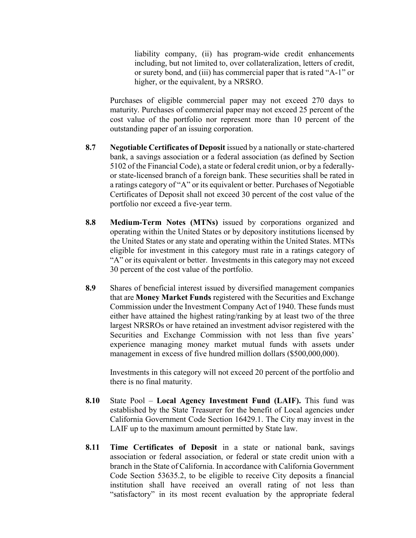liability company, (ii) has program-wide credit enhancements including, but not limited to, over collateralization, letters of credit, or surety bond, and (iii) has commercial paper that is rated "A-1" or higher, or the equivalent, by a NRSRO.

Purchases of eligible commercial paper may not exceed 270 days to maturity. Purchases of commercial paper may not exceed 25 percent of the cost value of the portfolio nor represent more than 10 percent of the outstanding paper of an issuing corporation.

- 8.7 Negotiable Certificates of Deposit issued by a nationally or state-chartered bank, a savings association or a federal association (as defined by Section 5102 of the Financial Code), a state or federal credit union, or by a federallyor state-licensed branch of a foreign bank. These securities shall be rated in a ratings category of "A" or its equivalent or better. Purchases of Negotiable Certificates of Deposit shall not exceed 30 percent of the cost value of the portfolio nor exceed a five-year term.
- 8.8 Medium-Term Notes (MTNs) issued by corporations organized and operating within the United States or by depository institutions licensed by the United States or any state and operating within the United States. MTNs eligible for investment in this category must rate in a ratings category of "A" or its equivalent or better. Investments in this category may not exceed 30 percent of the cost value of the portfolio.
- 8.9 Shares of beneficial interest issued by diversified management companies that are Money Market Funds registered with the Securities and Exchange Commission under the Investment Company Act of 1940. These funds must either have attained the highest rating/ranking by at least two of the three largest NRSROs or have retained an investment advisor registered with the Securities and Exchange Commission with not less than five years' experience managing money market mutual funds with assets under management in excess of five hundred million dollars (\$500,000,000).

Investments in this category will not exceed 20 percent of the portfolio and there is no final maturity.

- 8.10 State Pool Local Agency Investment Fund (LAIF). This fund was established by the State Treasurer for the benefit of Local agencies under California Government Code Section 16429.1. The City may invest in the LAIF up to the maximum amount permitted by State law.
- 8.11 Time Certificates of Deposit in a state or national bank, savings association or federal association, or federal or state credit union with a branch in the State of California. In accordance with California Government Code Section 53635.2, to be eligible to receive City deposits a financial institution shall have received an overall rating of not less than "satisfactory" in its most recent evaluation by the appropriate federal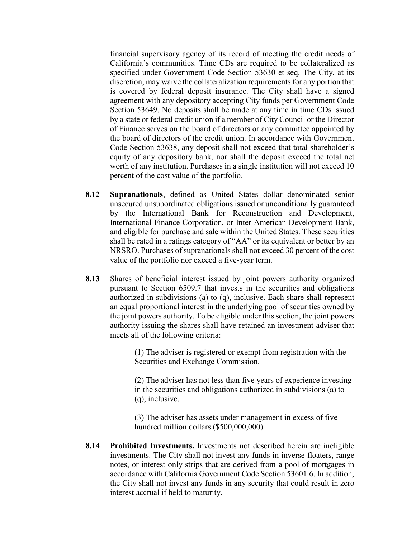financial supervisory agency of its record of meeting the credit needs of California's communities. Time CDs are required to be collateralized as specified under Government Code Section 53630 et seq. The City, at its discretion, may waive the collateralization requirements for any portion that is covered by federal deposit insurance. The City shall have a signed agreement with any depository accepting City funds per Government Code Section 53649. No deposits shall be made at any time in time CDs issued by a state or federal credit union if a member of City Council or the Director of Finance serves on the board of directors or any committee appointed by the board of directors of the credit union. In accordance with Government Code Section 53638, any deposit shall not exceed that total shareholder's equity of any depository bank, nor shall the deposit exceed the total net worth of any institution. Purchases in a single institution will not exceed 10 percent of the cost value of the portfolio.

- 8.12 Supranationals, defined as United States dollar denominated senior unsecured unsubordinated obligations issued or unconditionally guaranteed by the International Bank for Reconstruction and Development, International Finance Corporation, or Inter-American Development Bank, and eligible for purchase and sale within the United States. These securities shall be rated in a ratings category of "AA" or its equivalent or better by an NRSRO. Purchases of supranationals shall not exceed 30 percent of the cost value of the portfolio nor exceed a five-year term.
- 8.13 Shares of beneficial interest issued by joint powers authority organized pursuant to Section 6509.7 that invests in the securities and obligations authorized in subdivisions (a) to (q), inclusive. Each share shall represent an equal proportional interest in the underlying pool of securities owned by the joint powers authority. To be eligible under this section, the joint powers authority issuing the shares shall have retained an investment adviser that meets all of the following criteria:

(1) The adviser is registered or exempt from registration with the Securities and Exchange Commission.

(2) The adviser has not less than five years of experience investing in the securities and obligations authorized in subdivisions (a) to (q), inclusive.

(3) The adviser has assets under management in excess of five hundred million dollars (\$500,000,000).

8.14 Prohibited Investments. Investments not described herein are ineligible investments. The City shall not invest any funds in inverse floaters, range notes, or interest only strips that are derived from a pool of mortgages in accordance with California Government Code Section 53601.6. In addition, the City shall not invest any funds in any security that could result in zero interest accrual if held to maturity.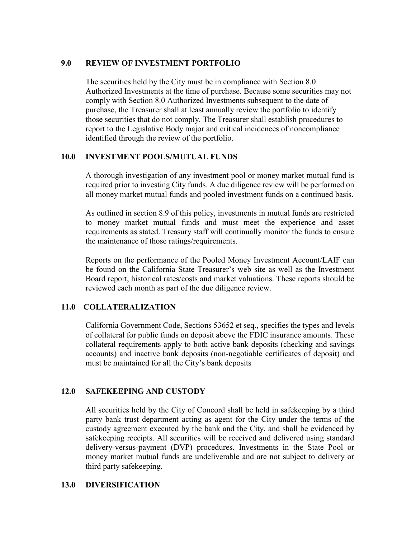### 9.0 REVIEW OF INVESTMENT PORTFOLIO

The securities held by the City must be in compliance with Section 8.0 Authorized Investments at the time of purchase. Because some securities may not comply with Section 8.0 Authorized Investments subsequent to the date of purchase, the Treasurer shall at least annually review the portfolio to identify those securities that do not comply. The Treasurer shall establish procedures to report to the Legislative Body major and critical incidences of noncompliance identified through the review of the portfolio.

### 10.0 INVESTMENT POOLS/MUTUAL FUNDS

A thorough investigation of any investment pool or money market mutual fund is required prior to investing City funds. A due diligence review will be performed on all money market mutual funds and pooled investment funds on a continued basis.

As outlined in section 8.9 of this policy, investments in mutual funds are restricted to money market mutual funds and must meet the experience and asset requirements as stated. Treasury staff will continually monitor the funds to ensure the maintenance of those ratings/requirements.

Reports on the performance of the Pooled Money Investment Account/LAIF can be found on the California State Treasurer's web site as well as the Investment Board report, historical rates/costs and market valuations. These reports should be reviewed each month as part of the due diligence review.

### 11.0 COLLATERALIZATION

California Government Code, Sections 53652 et seq., specifies the types and levels of collateral for public funds on deposit above the FDIC insurance amounts. These collateral requirements apply to both active bank deposits (checking and savings accounts) and inactive bank deposits (non-negotiable certificates of deposit) and must be maintained for all the City's bank deposits

### 12.0 SAFEKEEPING AND CUSTODY

All securities held by the City of Concord shall be held in safekeeping by a third party bank trust department acting as agent for the City under the terms of the custody agreement executed by the bank and the City, and shall be evidenced by safekeeping receipts. All securities will be received and delivered using standard delivery-versus-payment (DVP) procedures. Investments in the State Pool or money market mutual funds are undeliverable and are not subject to delivery or third party safekeeping.

#### 13.0 DIVERSIFICATION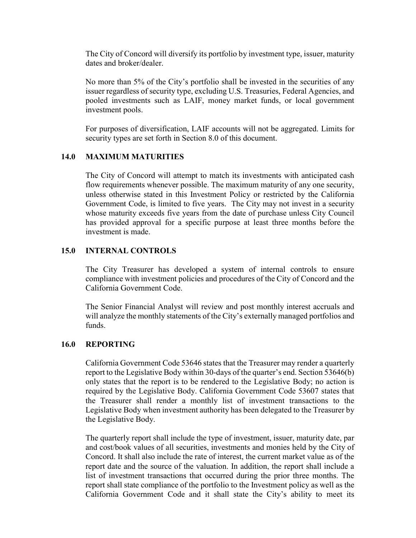The City of Concord will diversify its portfolio by investment type, issuer, maturity dates and broker/dealer.

No more than 5% of the City's portfolio shall be invested in the securities of any issuer regardless of security type, excluding U.S. Treasuries, Federal Agencies, and pooled investments such as LAIF, money market funds, or local government investment pools.

For purposes of diversification, LAIF accounts will not be aggregated. Limits for security types are set forth in Section 8.0 of this document.

# 14.0 MAXIMUM MATURITIES

The City of Concord will attempt to match its investments with anticipated cash flow requirements whenever possible. The maximum maturity of any one security, unless otherwise stated in this Investment Policy or restricted by the California Government Code, is limited to five years. The City may not invest in a security whose maturity exceeds five years from the date of purchase unless City Council has provided approval for a specific purpose at least three months before the investment is made.

### 15.0 INTERNAL CONTROLS

The City Treasurer has developed a system of internal controls to ensure compliance with investment policies and procedures of the City of Concord and the California Government Code.

The Senior Financial Analyst will review and post monthly interest accruals and will analyze the monthly statements of the City's externally managed portfolios and funds.

### 16.0 REPORTING

California Government Code 53646 states that the Treasurer may render a quarterly report to the Legislative Body within 30-days of the quarter's end. Section 53646(b) only states that the report is to be rendered to the Legislative Body; no action is required by the Legislative Body. California Government Code 53607 states that the Treasurer shall render a monthly list of investment transactions to the Legislative Body when investment authority has been delegated to the Treasurer by the Legislative Body.

The quarterly report shall include the type of investment, issuer, maturity date, par and cost/book values of all securities, investments and monies held by the City of Concord. It shall also include the rate of interest, the current market value as of the report date and the source of the valuation. In addition, the report shall include a list of investment transactions that occurred during the prior three months. The report shall state compliance of the portfolio to the Investment policy as well as the California Government Code and it shall state the City's ability to meet its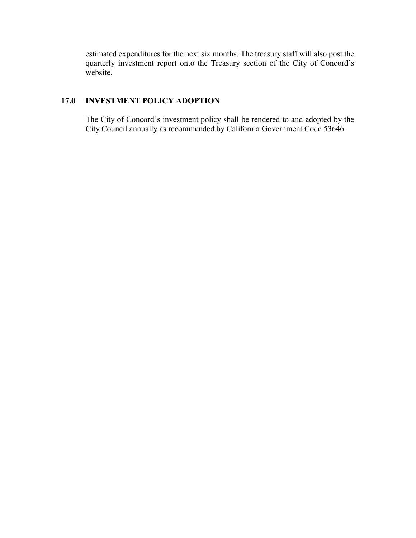estimated expenditures for the next six months. The treasury staff will also post the quarterly investment report onto the Treasury section of the City of Concord's website.

# 17.0 INVESTMENT POLICY ADOPTION

The City of Concord's investment policy shall be rendered to and adopted by the City Council annually as recommended by California Government Code 53646.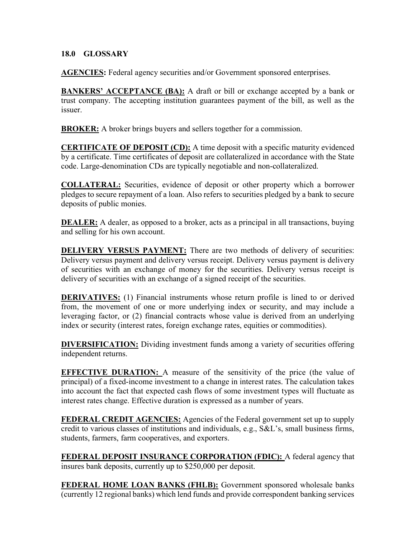# 18.0 GLOSSARY

AGENCIES: Federal agency securities and/or Government sponsored enterprises.

**BANKERS' ACCEPTANCE (BA):** A draft or bill or exchange accepted by a bank or trust company. The accepting institution guarantees payment of the bill, as well as the issuer.

BROKER: A broker brings buyers and sellers together for a commission.

CERTIFICATE OF DEPOSIT (CD): A time deposit with a specific maturity evidenced by a certificate. Time certificates of deposit are collateralized in accordance with the State code. Large-denomination CDs are typically negotiable and non-collateralized.

COLLATERAL: Securities, evidence of deposit or other property which a borrower pledges to secure repayment of a loan. Also refers to securities pledged by a bank to secure deposits of public monies.

**DEALER:** A dealer, as opposed to a broker, acts as a principal in all transactions, buying and selling for his own account.

DELIVERY VERSUS PAYMENT: There are two methods of delivery of securities: Delivery versus payment and delivery versus receipt. Delivery versus payment is delivery of securities with an exchange of money for the securities. Delivery versus receipt is delivery of securities with an exchange of a signed receipt of the securities.

DERIVATIVES: (1) Financial instruments whose return profile is lined to or derived from, the movement of one or more underlying index or security, and may include a leveraging factor, or (2) financial contracts whose value is derived from an underlying index or security (interest rates, foreign exchange rates, equities or commodities).

DIVERSIFICATION: Dividing investment funds among a variety of securities offering independent returns.

**EFFECTIVE DURATION:** A measure of the sensitivity of the price (the value of principal) of a fixed-income investment to a change in interest rates. The calculation takes into account the fact that expected cash flows of some investment types will fluctuate as interest rates change. Effective duration is expressed as a number of years.

**FEDERAL CREDIT AGENCIES:** Agencies of the Federal government set up to supply credit to various classes of institutions and individuals, e.g., S&L's, small business firms, students, farmers, farm cooperatives, and exporters.

FEDERAL DEPOSIT INSURANCE CORPORATION (FDIC): A federal agency that insures bank deposits, currently up to \$250,000 per deposit.

FEDERAL HOME LOAN BANKS (FHLB): Government sponsored wholesale banks (currently 12 regional banks) which lend funds and provide correspondent banking services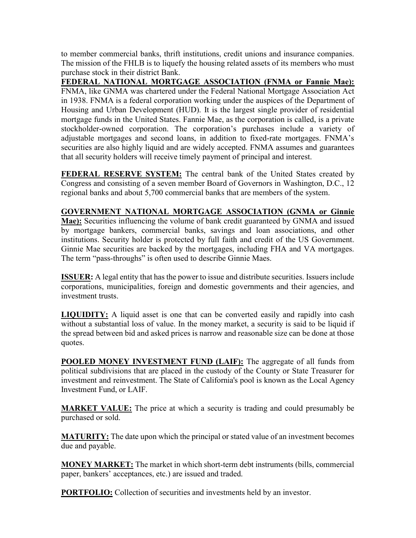to member commercial banks, thrift institutions, credit unions and insurance companies. The mission of the FHLB is to liquefy the housing related assets of its members who must purchase stock in their district Bank.

FEDERAL NATIONAL MORTGAGE ASSOCIATION (FNMA or Fannie Mae): FNMA, like GNMA was chartered under the Federal National Mortgage Association Act in 1938. FNMA is a federal corporation working under the auspices of the Department of Housing and Urban Development (HUD). It is the largest single provider of residential mortgage funds in the United States. Fannie Mae, as the corporation is called, is a private stockholder-owned corporation. The corporation's purchases include a variety of adjustable mortgages and second loans, in addition to fixed-rate mortgages. FNMA's securities are also highly liquid and are widely accepted. FNMA assumes and guarantees that all security holders will receive timely payment of principal and interest.

FEDERAL RESERVE SYSTEM: The central bank of the United States created by Congress and consisting of a seven member Board of Governors in Washington, D.C., 12 regional banks and about 5,700 commercial banks that are members of the system.

GOVERNMENT NATIONAL MORTGAGE ASSOCIATION (GNMA or Ginnie Mae): Securities influencing the volume of bank credit guaranteed by GNMA and issued by mortgage bankers, commercial banks, savings and loan associations, and other institutions. Security holder is protected by full faith and credit of the US Government. Ginnie Mae securities are backed by the mortgages, including FHA and VA mortgages. The term "pass-throughs" is often used to describe Ginnie Maes.

ISSUER: A legal entity that has the power to issue and distribute securities. Issuers include corporations, municipalities, foreign and domestic governments and their agencies, and investment trusts.

LIQUIDITY: A liquid asset is one that can be converted easily and rapidly into cash without a substantial loss of value. In the money market, a security is said to be liquid if the spread between bid and asked prices is narrow and reasonable size can be done at those quotes.

POOLED MONEY INVESTMENT FUND (LAIF): The aggregate of all funds from political subdivisions that are placed in the custody of the County or State Treasurer for investment and reinvestment. The State of California's pool is known as the Local Agency Investment Fund, or LAIF.

**MARKET VALUE:** The price at which a security is trading and could presumably be purchased or sold.

**MATURITY:** The date upon which the principal or stated value of an investment becomes due and payable.

MONEY MARKET: The market in which short-term debt instruments (bills, commercial paper, bankers' acceptances, etc.) are issued and traded.

**PORTFOLIO:** Collection of securities and investments held by an investor.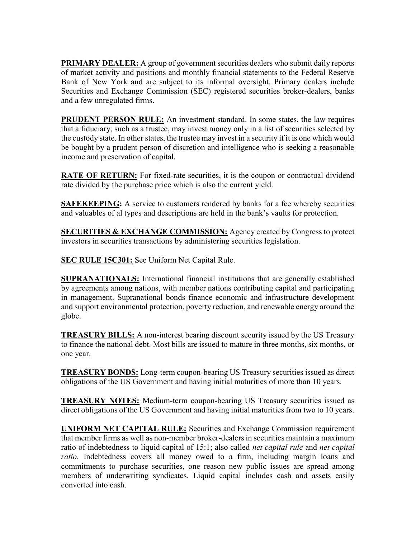**PRIMARY DEALER:** A group of government securities dealers who submit daily reports of market activity and positions and monthly financial statements to the Federal Reserve Bank of New York and are subject to its informal oversight. Primary dealers include Securities and Exchange Commission (SEC) registered securities broker-dealers, banks and a few unregulated firms.

PRUDENT PERSON RULE: An investment standard. In some states, the law requires that a fiduciary, such as a trustee, may invest money only in a list of securities selected by the custody state. In other states, the trustee may invest in a security if it is one which would be bought by a prudent person of discretion and intelligence who is seeking a reasonable income and preservation of capital.

**RATE OF RETURN:** For fixed-rate securities, it is the coupon or contractual dividend rate divided by the purchase price which is also the current yield.

**SAFEKEEPING:** A service to customers rendered by banks for a fee whereby securities and valuables of al types and descriptions are held in the bank's vaults for protection.

**SECURITIES & EXCHANGE COMMISSION:** Agency created by Congress to protect investors in securities transactions by administering securities legislation.

SEC RULE 15C301: See Uniform Net Capital Rule.

**SUPRANATIONALS:** International financial institutions that are generally established by agreements among nations, with member nations contributing capital and participating in management. Supranational bonds finance economic and infrastructure development and support environmental protection, poverty reduction, and renewable energy around the globe.

TREASURY BILLS: A non-interest bearing discount security issued by the US Treasury to finance the national debt. Most bills are issued to mature in three months, six months, or one year.

TREASURY BONDS: Long-term coupon-bearing US Treasury securities issued as direct obligations of the US Government and having initial maturities of more than 10 years.

TREASURY NOTES: Medium-term coupon-bearing US Treasury securities issued as direct obligations of the US Government and having initial maturities from two to 10 years.

UNIFORM NET CAPITAL RULE: Securities and Exchange Commission requirement that member firms as well as non-member broker-dealers in securities maintain a maximum ratio of indebtedness to liquid capital of 15:1; also called *net capital rule* and *net capital* ratio. Indebtedness covers all money owed to a firm, including margin loans and commitments to purchase securities, one reason new public issues are spread among members of underwriting syndicates. Liquid capital includes cash and assets easily converted into cash.